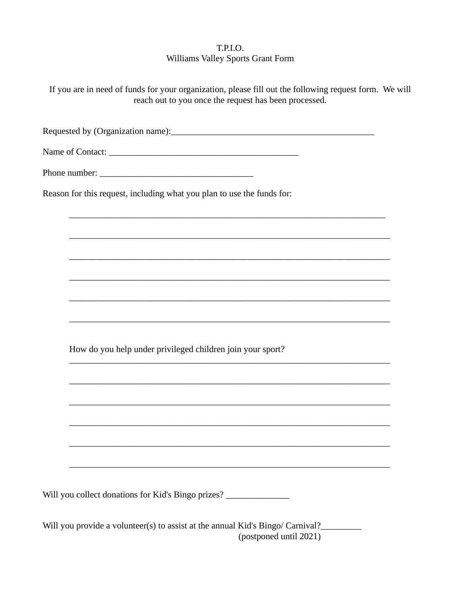## T.P.I.O. Williams Valley Sports Grant Form

| If you are in need of funds for your organization, please fill out the following request form. We will<br>reach out to you once the request has been processed. |  |
|-----------------------------------------------------------------------------------------------------------------------------------------------------------------|--|
|                                                                                                                                                                 |  |
|                                                                                                                                                                 |  |
|                                                                                                                                                                 |  |
| Reason for this request, including what you plan to use the funds for:                                                                                          |  |
| <u> 1989 - Johann Harry Harry Harry Harry Harry Harry Harry Harry Harry Harry Harry Harry Harry Harry Harry Harry</u>                                           |  |
|                                                                                                                                                                 |  |
|                                                                                                                                                                 |  |
|                                                                                                                                                                 |  |
|                                                                                                                                                                 |  |
| How do you help under privileged children join your sport?                                                                                                      |  |
|                                                                                                                                                                 |  |
| <u> 1989 - Johann John Stoff, deutscher Stoffen und der Stoffen und der Stoffen und der Stoffen und der Stoffen u</u>                                           |  |
|                                                                                                                                                                 |  |
|                                                                                                                                                                 |  |
|                                                                                                                                                                 |  |
| Will you collect donations for Kid's Bingo prizes? ________________                                                                                             |  |
| Will you provide a volunteer(s) to assist at the annual Kid's Bingo/ Carnival?____                                                                              |  |

(postponed until 2021)